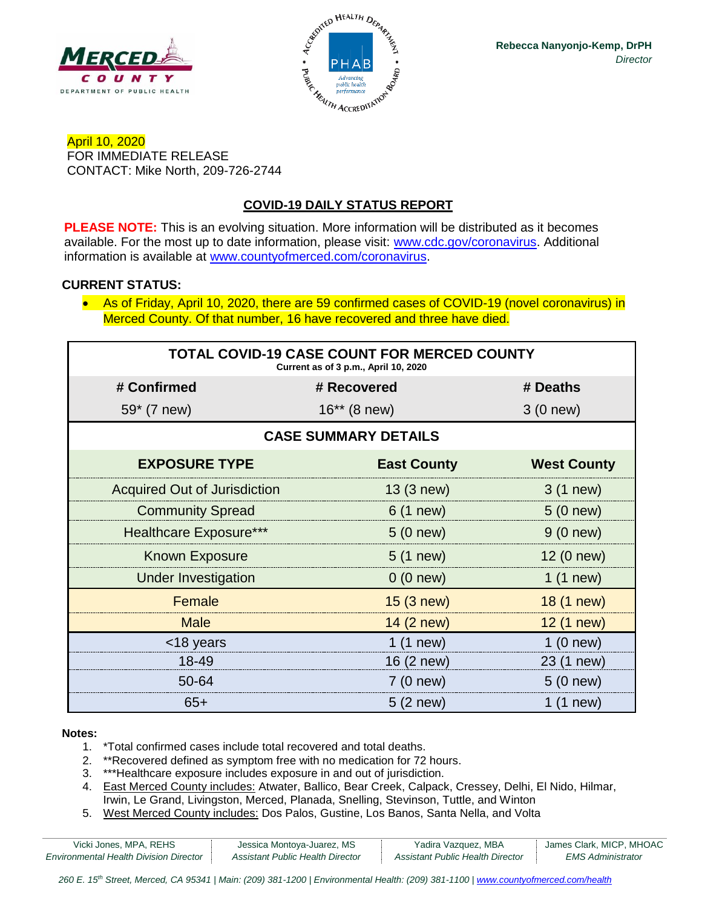



April 10, 2020 FOR IMMEDIATE RELEASE CONTACT: Mike North, 209-726-2744

## **COVID-19 DAILY STATUS REPORT**

**PLEASE NOTE:** This is an evolving situation. More information will be distributed as it becomes available. For the most up to date information, please visit: [www.cdc.gov/coronavirus.](http://www.cdc.gov/coronavirus) Additional information is available at [www.countyofmerced.com/coronavirus.](http://www.countyofmerced.com/coronavirus)

#### **CURRENT STATUS:**

• As of Friday, April 10, 2020, there are 59 confirmed cases of COVID-19 (novel coronavirus) in Merced County. Of that number, 16 have recovered and three have died.

| <b>TOTAL COVID-19 CASE COUNT FOR MERCED COUNTY</b><br>Current as of 3 p.m., April 10, 2020 |                    |                    |  |  |
|--------------------------------------------------------------------------------------------|--------------------|--------------------|--|--|
| # Confirmed                                                                                | # Recovered        | # Deaths           |  |  |
| 59* (7 new)                                                                                | $16**$ (8 new)     | 3(0 new)           |  |  |
| <b>CASE SUMMARY DETAILS</b>                                                                |                    |                    |  |  |
| <b>EXPOSURE TYPE</b>                                                                       | <b>East County</b> | <b>West County</b> |  |  |
| <b>Acquired Out of Jurisdiction</b>                                                        | 13 (3 new)         | 3 (1 new)          |  |  |
| <b>Community Spread</b>                                                                    | 6 (1 new)          | $5(0)$ new)        |  |  |
| <b>Healthcare Exposure***</b>                                                              | 5(0 new)           | 9(0 new)           |  |  |
| <b>Known Exposure</b>                                                                      | $5(1)$ new)        | 12 (0 new)         |  |  |
| <b>Under Investigation</b>                                                                 | 0(0 new)           | $1(1$ new)         |  |  |
| Female                                                                                     | 15 (3 new)         | 18 (1 new)         |  |  |
| <b>Male</b>                                                                                | 14 (2 new)         | 12 (1 new)         |  |  |
| <18 years                                                                                  | 1(1 new)           | 1(0 new)           |  |  |
| 18-49                                                                                      | 16 (2 new)         | 23 (1 new)         |  |  |
| 50-64                                                                                      | $7(0$ new)         | 5(0 new)           |  |  |
| $65+$                                                                                      | 5 (2 new)          | $1(1$ new)         |  |  |

#### **Notes:**

- 1. \*Total confirmed cases include total recovered and total deaths.
- 2. \*\*Recovered defined as symptom free with no medication for 72 hours.
- 3. \*\*\*Healthcare exposure includes exposure in and out of jurisdiction.
- 4. East Merced County includes: Atwater, Ballico, Bear Creek, Calpack, Cressey, Delhi, El Nido, Hilmar, Irwin, Le Grand, Livingston, Merced, Planada, Snelling, Stevinson, Tuttle, and Winton
- 5. West Merced County includes: Dos Palos, Gustine, Los Banos, Santa Nella, and Volta

| Vicki Jones, MPA, REHS                        | Jessica Montoya-Juarez, MS       | Yadira Vazquez, MBA              | James Clark, MICP, MHOAC |
|-----------------------------------------------|----------------------------------|----------------------------------|--------------------------|
| <b>Environmental Health Division Director</b> | Assistant Public Health Director | Assistant Public Health Director | EMS Administrator        |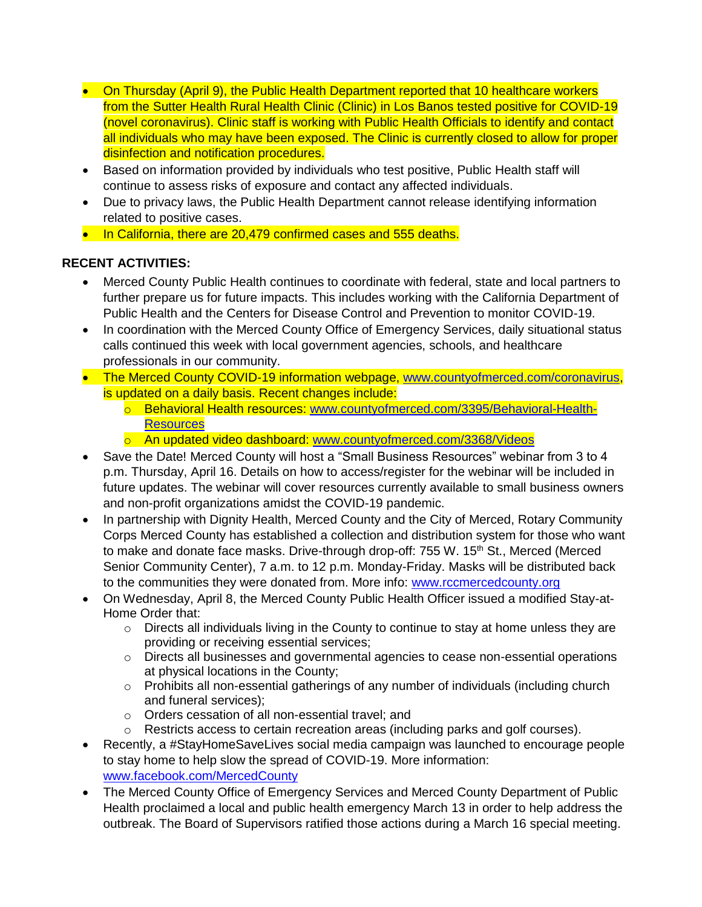- On Thursday (April 9), the Public Health Department reported that 10 healthcare workers from the Sutter Health Rural Health Clinic (Clinic) in Los Banos tested positive for COVID-19 (novel coronavirus). Clinic staff is working with Public Health Officials to identify and contact all individuals who may have been exposed. The Clinic is currently closed to allow for proper disinfection and notification procedures.
- Based on information provided by individuals who test positive, Public Health staff will continue to assess risks of exposure and contact any affected individuals.
- Due to privacy laws, the Public Health Department cannot release identifying information related to positive cases.
- In California, there are 20,479 confirmed cases and 555 deaths.

# **RECENT ACTIVITIES:**

- Merced County Public Health continues to coordinate with federal, state and local partners to further prepare us for future impacts. This includes working with the California Department of Public Health and the Centers for Disease Control and Prevention to monitor COVID-19.
- In coordination with the Merced County Office of Emergency Services, daily situational status calls continued this week with local government agencies, schools, and healthcare professionals in our community.
- The Merced County COVID-19 information webpage, [www.countyofmerced.com/coronavirus,](http://www.countyofmerced.com/coronavirus) is updated on a daily basis. Recent changes include:
	- o Behavioral Health resources: [www.countyofmerced.com/3395/Behavioral-Health-](http://www.countyofmerced.com/3395/Behavioral-Health-Resources)**[Resources](http://www.countyofmerced.com/3395/Behavioral-Health-Resources)**
	- o An updated video dashboard: [www.countyofmerced.com/3368/Videos](http://www.countyofmerced.com/3368/Videos)
- Save the Date! Merced County will host a "Small Business Resources" webinar from 3 to 4 p.m. Thursday, April 16. Details on how to access/register for the webinar will be included in future updates. The webinar will cover resources currently available to small business owners and non-profit organizations amidst the COVID-19 pandemic.
- In partnership with Dignity Health, Merced County and the City of Merced, Rotary Community Corps Merced County has established a collection and distribution system for those who want to make and donate face masks. Drive-through drop-off: 755 W. 15<sup>th</sup> St., Merced (Merced Senior Community Center), 7 a.m. to 12 p.m. Monday-Friday. Masks will be distributed back to the communities they were donated from. More info: [www.rccmercedcounty.org](http://www.rccmercedcounty.org/)
- On Wednesday, April 8, the Merced County Public Health Officer issued a modified Stay-at-Home Order that:
	- $\circ$  Directs all individuals living in the County to continue to stay at home unless they are providing or receiving essential services;
	- $\circ$  Directs all businesses and governmental agencies to cease non-essential operations at physical locations in the County;
	- o Prohibits all non-essential gatherings of any number of individuals (including church and funeral services);
	- o Orders cessation of all non-essential travel; and
	- o Restricts access to certain recreation areas (including parks and golf courses).
- Recently, a #StayHomeSaveLives social media campaign was launched to encourage people to stay home to help slow the spread of COVID-19. More information: [www.facebook.com/MercedCounty](http://www.facebook.com/MercedCounty)
- The Merced County Office of Emergency Services and Merced County Department of Public Health proclaimed a local and public health emergency March 13 in order to help address the outbreak. The Board of Supervisors ratified those actions during a March 16 special meeting.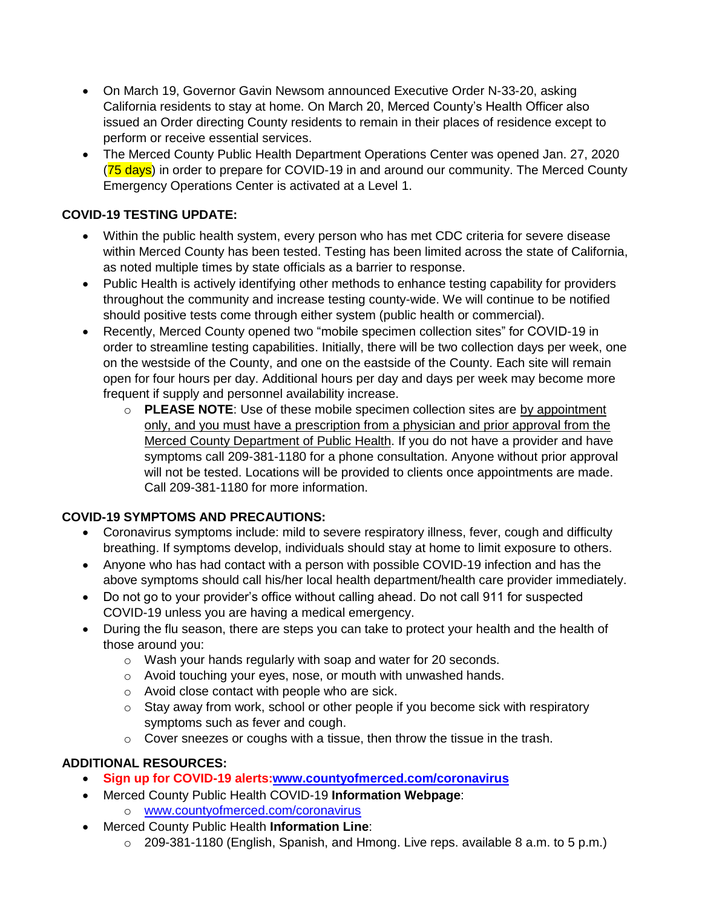- On March 19, Governor Gavin Newsom announced Executive Order N-33-20, asking California residents to stay at home. On March 20, Merced County's Health Officer also issued an Order directing County residents to remain in their places of residence except to perform or receive essential services.
- The Merced County Public Health Department Operations Center was opened Jan. 27, 2020 (75 days) in order to prepare for COVID-19 in and around our community. The Merced County Emergency Operations Center is activated at a Level 1.

## **COVID-19 TESTING UPDATE:**

- Within the public health system, every person who has met CDC criteria for severe disease within Merced County has been tested. Testing has been limited across the state of California, as noted multiple times by state officials as a barrier to response.
- Public Health is actively identifying other methods to enhance testing capability for providers throughout the community and increase testing county-wide. We will continue to be notified should positive tests come through either system (public health or commercial).
- Recently, Merced County opened two "mobile specimen collection sites" for COVID-19 in order to streamline testing capabilities. Initially, there will be two collection days per week, one on the westside of the County, and one on the eastside of the County. Each site will remain open for four hours per day. Additional hours per day and days per week may become more frequent if supply and personnel availability increase.
	- o **PLEASE NOTE**: Use of these mobile specimen collection sites are by appointment only, and you must have a prescription from a physician and prior approval from the Merced County Department of Public Health. If you do not have a provider and have symptoms call 209-381-1180 for a phone consultation. Anyone without prior approval will not be tested. Locations will be provided to clients once appointments are made. Call 209-381-1180 for more information.

## **COVID-19 SYMPTOMS AND PRECAUTIONS:**

- Coronavirus symptoms include: mild to severe respiratory illness, fever, cough and difficulty breathing. If symptoms develop, individuals should stay at home to limit exposure to others.
- Anyone who has had contact with a person with possible COVID-19 infection and has the above symptoms should call his/her local health department/health care provider immediately.
- Do not go to your provider's office without calling ahead. Do not call 911 for suspected COVID-19 unless you are having a medical emergency.
- During the flu season, there are steps you can take to protect your health and the health of those around you:
	- o Wash your hands regularly with soap and water for 20 seconds.
	- o Avoid touching your eyes, nose, or mouth with unwashed hands.
	- o Avoid close contact with people who are sick.
	- o Stay away from work, school or other people if you become sick with respiratory symptoms such as fever and cough.
	- $\circ$  Cover sneezes or coughs with a tissue, then throw the tissue in the trash.

## **ADDITIONAL RESOURCES:**

- **Sign up for COVID-19 alerts[:www.countyofmerced.com/coronavirus](http://www.countyofmerced.com/coronavirus)**
- Merced County Public Health COVID-19 **Information Webpage**:
	- o [www.countyofmerced.com/coronavirus](http://www.countyofmerced.com/coronavirus)
- Merced County Public Health **Information Line**:
	- o 209-381-1180 (English, Spanish, and Hmong. Live reps. available 8 a.m. to 5 p.m.)